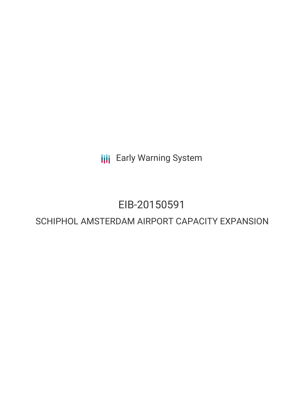**III** Early Warning System

# EIB-20150591

# SCHIPHOL AMSTERDAM AIRPORT CAPACITY EXPANSION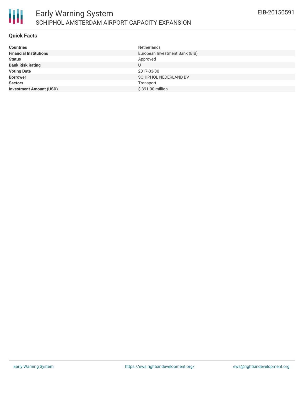

#### **Quick Facts**

| Netherlands                    |
|--------------------------------|
| European Investment Bank (EIB) |
| Approved                       |
|                                |
| 2017-03-30                     |
| <b>SCHIPHOL NEDERLAND BV</b>   |
| Transport                      |
| \$391.00 million               |
|                                |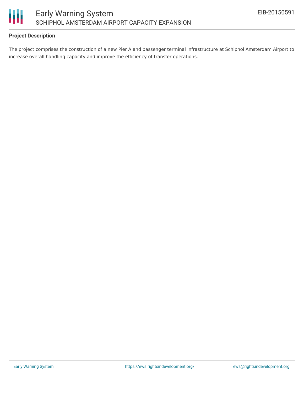

# **Project Description**

The project comprises the construction of a new Pier A and passenger terminal infrastructure at Schiphol Amsterdam Airport to increase overall handling capacity and improve the efficiency of transfer operations.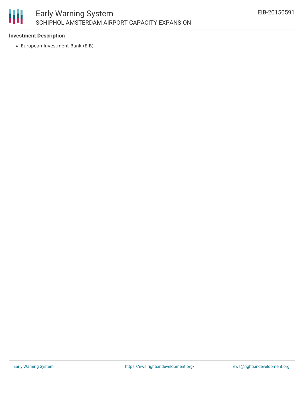

## **Investment Description**

European Investment Bank (EIB)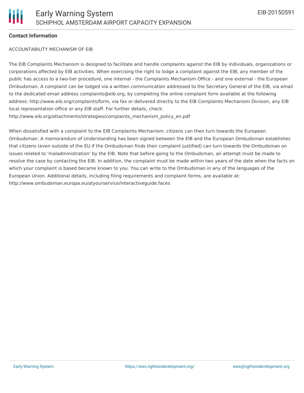## **Contact Information**

#### ACCOUNTABILITY MECHANISM OF EIB

The EIB Complaints Mechanism is designed to facilitate and handle complaints against the EIB by individuals, organizations or corporations affected by EIB activities. When exercising the right to lodge a complaint against the EIB, any member of the public has access to a two-tier procedure, one internal - the Complaints Mechanism Office - and one external - the European Ombudsman. A complaint can be lodged via a written communication addressed to the Secretary General of the EIB, via email to the dedicated email address complaints@eib.org, by completing the online complaint form available at the following address: http://www.eib.org/complaints/form, via fax or delivered directly to the EIB Complaints Mechanism Division, any EIB local representation office or any EIB staff. For further details, check: http://www.eib.org/attachments/strategies/complaints\_mechanism\_policy\_en.pdf

When dissatisfied with a complaint to the EIB Complaints Mechanism, citizens can then turn towards the European Ombudsman. A memorandum of Understanding has been signed between the EIB and the European Ombudsman establishes that citizens (even outside of the EU if the Ombudsman finds their complaint justified) can turn towards the Ombudsman on issues related to 'maladministration' by the EIB. Note that before going to the Ombudsman, an attempt must be made to resolve the case by contacting the EIB. In addition, the complaint must be made within two years of the date when the facts on which your complaint is based became known to you. You can write to the Ombudsman in any of the languages of the European Union. Additional details, including filing requirements and complaint forms, are available at: http://www.ombudsman.europa.eu/atyourservice/interactiveguide.faces